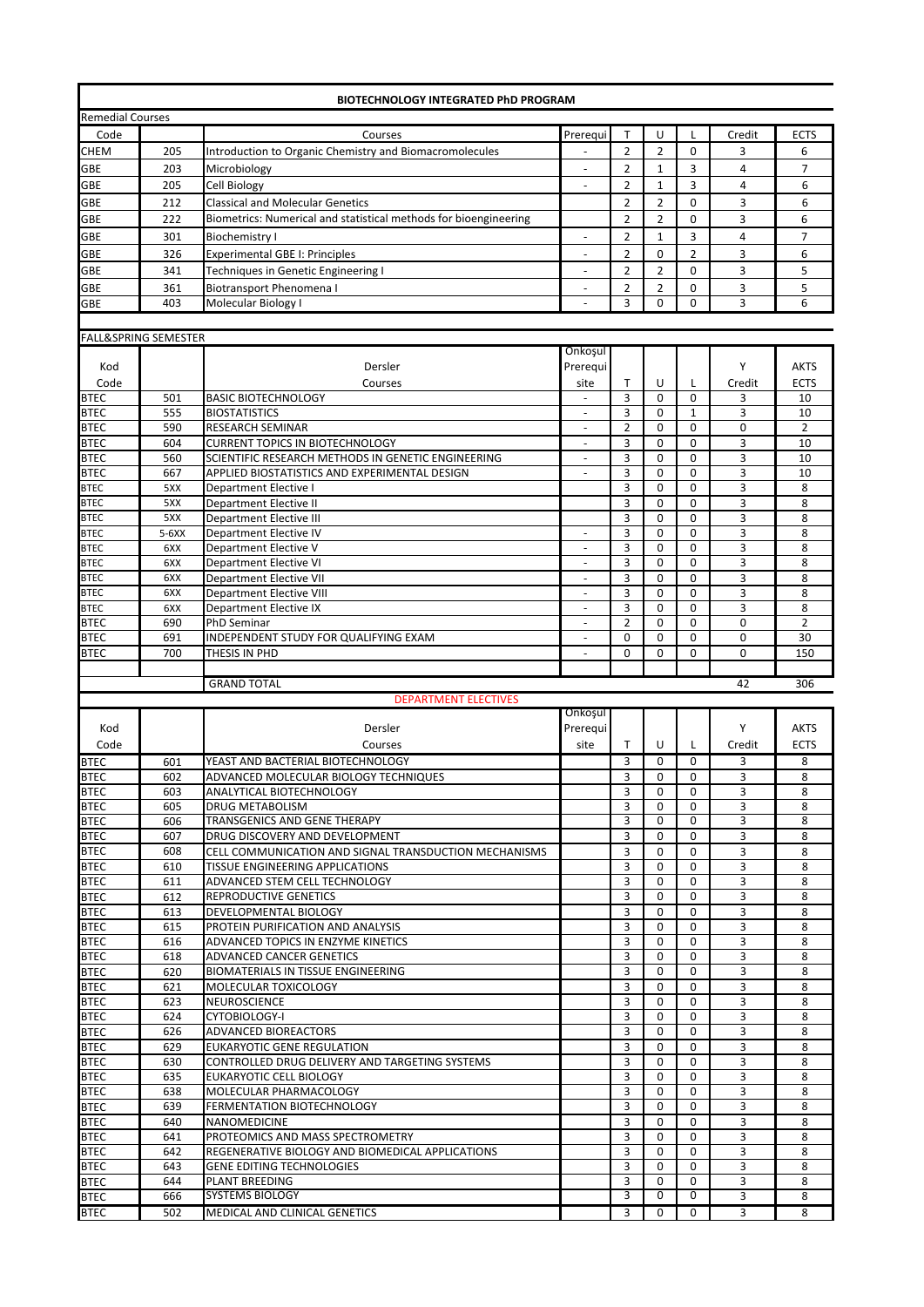|                            |                                 | <b>BIOTECHNOLOGY INTEGRATED PhD PROGRAM</b>                                                  |                          |                     |                            |                            |                |                |
|----------------------------|---------------------------------|----------------------------------------------------------------------------------------------|--------------------------|---------------------|----------------------------|----------------------------|----------------|----------------|
| <b>Remedial Courses</b>    |                                 |                                                                                              |                          |                     |                            |                            |                |                |
| Code                       |                                 | Courses                                                                                      | Prerequi                 | $\mathsf{T}$        | U                          | L                          | Credit         | <b>ECTS</b>    |
| <b>CHEM</b>                | 205                             | Introduction to Organic Chemistry and Biomacromolecules                                      |                          | $\overline{2}$      | $\overline{2}$             | $\mathbf 0$                | 3              | 6              |
| GBE                        | 203                             | Microbiology                                                                                 |                          | $\overline{2}$      | $\mathbf{1}$               | 3                          | 4              | $\overline{7}$ |
| GBE                        | 205                             | <b>Cell Biology</b>                                                                          | $\overline{\phantom{a}}$ | $\overline{2}$      | $\mathbf{1}$               | 3                          | 4              | 6              |
| GBE                        | 212                             | <b>Classical and Molecular Genetics</b>                                                      |                          | $\overline{2}$      | $\overline{2}$             | $\Omega$                   | 3              | 6              |
| GBE                        | 222                             | Biometrics: Numerical and statistical methods for bioengineering                             |                          | $\overline{2}$      | $\overline{2}$             | $\Omega$                   | 3              | 6              |
| GBE                        | 301                             | <b>Biochemistry I</b>                                                                        | $\overline{a}$           | $\overline{2}$      | $\mathbf{1}$               | 3                          | $\overline{4}$ | $\overline{7}$ |
| GBE                        | 326                             | <b>Experimental GBE I: Principles</b>                                                        |                          | $\overline{2}$      | 0                          | $\overline{2}$             | 3              | 6              |
| GBE                        | 341                             | Techniques in Genetic Engineering I                                                          |                          | $\overline{2}$      | $\overline{2}$             | $\mathbf 0$                | 3              | 5              |
| GBE                        | 361                             | <b>Biotransport Phenomena I</b>                                                              | $\overline{\phantom{a}}$ | 2                   | $\overline{2}$             | 0                          | 3              | 5              |
| <b>GBE</b>                 | 403                             | Molecular Biology I                                                                          |                          | 3                   | $\mathbf 0$                | $\Omega$                   | 3              | 6              |
|                            |                                 |                                                                                              |                          |                     |                            |                            |                |                |
|                            | <b>FALL&amp;SPRING SEMESTER</b> |                                                                                              |                          |                     |                            |                            |                |                |
|                            |                                 |                                                                                              | Onkoşul                  |                     |                            |                            |                |                |
| Kod                        |                                 | Dersler                                                                                      | Prerequi                 |                     |                            |                            | Υ              | <b>AKTS</b>    |
| Code                       |                                 | Courses                                                                                      | site                     | Т                   | U                          | L                          | Credit         | <b>ECTS</b>    |
| <b>BTEC</b>                | 501                             | <b>BASIC BIOTECHNOLOGY</b>                                                                   | L,                       | 3                   | $\mathbf 0$                | $\mathbf 0$                | 3              | 10             |
| <b>BTEC</b>                | 555                             | <b>BIOSTATISTICS</b>                                                                         |                          | 3                   | 0                          | $\mathbf{1}$               | 3              | 10             |
| <b>BTEC</b>                | 590                             | <b>RESEARCH SEMINAR</b>                                                                      | $\overline{\phantom{a}}$ | $\overline{2}$<br>3 | 0<br>$\mathbf 0$           | $\mathbf 0$<br>$\Omega$    | $\mathbf 0$    | $\overline{2}$ |
| <b>BTEC</b><br><b>BTEC</b> | 604<br>560                      | <b>CURRENT TOPICS IN BIOTECHNOLOGY</b><br>SCIENTIFIC RESEARCH METHODS IN GENETIC ENGINEERING | $\overline{\phantom{a}}$ | 3                   | $\mathbf 0$                | $\Omega$                   | 3<br>3         | 10<br>10       |
| <b>BTEC</b>                | 667                             | APPLIED BIOSTATISTICS AND EXPERIMENTAL DESIGN                                                | $\blacksquare$           | 3                   | 0                          | $\mathbf 0$                | 3              | 10             |
| <b>BTEC</b>                | 5XX                             | Department Elective I                                                                        |                          | 3                   | $\mathbf 0$                | $\mathbf 0$                | 3              | 8              |
| <b>BTEC</b>                | 5XX                             | <b>Department Elective II</b>                                                                |                          | 3                   | $\mathbf 0$                | $\mathbf 0$                | 3              | 8              |
| <b>BTEC</b>                | 5XX                             | Department Elective III                                                                      |                          | 3                   | $\mathbf 0$                | $\mathbf 0$                | 3              | 8              |
| <b>BTEC</b>                | $5-6XX$                         | Department Elective IV                                                                       |                          | 3                   | $\mathbf 0$                | $\Omega$                   | 3              | 8              |
| <b>BTEC</b>                | 6XX                             | Department Elective V                                                                        | ٠                        | 3                   | 0                          | 0                          | 3              | 8              |
| <b>BTEC</b>                | 6XX                             | Department Elective VI                                                                       | $\sim$                   | 3                   | 0                          | $\mathbf 0$                | 3              | 8              |
| <b>BTEC</b>                | 6XX                             | <b>Department Elective VII</b>                                                               | $\overline{\phantom{a}}$ | 3                   | 0                          | $\mathbf 0$                | 3              | 8              |
| <b>BTEC</b>                | 6XX                             | <b>Department Elective VIII</b>                                                              | $\overline{a}$           | 3                   | $\mathbf 0$                | $\mathbf 0$                | 3              | 8              |
| <b>BTEC</b>                | 6XX                             | Department Elective IX                                                                       | ٠                        | 3                   | $\mathbf 0$                | $\mathbf 0$                | 3              | 8              |
| <b>BTEC</b>                | 690                             | PhD Seminar                                                                                  | $\blacksquare$           | $\overline{2}$      | 0                          | $\mathbf 0$                | $\mathbf 0$    | $\overline{2}$ |
| <b>BTEC</b>                | 691                             | INDEPENDENT STUDY FOR QUALIFYING EXAM                                                        |                          | $\mathbf 0$         | 0                          | $\mathbf 0$                | $\mathbf 0$    | 30             |
| <b>BTEC</b>                | 700                             | THESIS IN PHD                                                                                | ÷.                       | $\mathbf 0$         | 0                          | 0                          | 0              | 150            |
|                            |                                 |                                                                                              |                          |                     |                            |                            |                |                |
|                            |                                 | <b>GRAND TOTAL</b>                                                                           |                          |                     |                            |                            | 42             | 306            |
|                            |                                 | <b>DEPARTMENT ELECTIVES</b>                                                                  |                          |                     |                            |                            |                |                |
| Kod                        |                                 | Dersler                                                                                      | Onkoşul                  |                     |                            |                            | Υ              |                |
|                            |                                 |                                                                                              | Prerequi                 |                     |                            |                            |                | <b>AKTS</b>    |
| Code                       |                                 | Courses                                                                                      | site                     | T.                  | U                          | Г                          | Credit         | <b>ECTS</b>    |
| <b>BTEC</b><br><b>BTEC</b> | 601<br>602                      | YEAST AND BACTERIAL BIOTECHNOLOGY<br>ADVANCED MOLECULAR BIOLOGY TECHNIQUES                   |                          | 3<br>3              | $\mathbf 0$<br>$\mathbf 0$ | $\mathbf 0$<br>$\mathbf 0$ | 3              | 8              |
| <b>BTEC</b>                |                                 | ANALYTICAL BIOTECHNOLOGY                                                                     |                          |                     | 0                          |                            | 3<br>3         | 8<br>8         |
| <b>BTEC</b>                | 603<br>605                      | <b>DRUG METABOLISM</b>                                                                       |                          | 3<br>3              | $\Omega$                   | 0<br>$\Omega$              | 3              | 8              |
| <b>BTEC</b>                | 606                             | TRANSGENICS AND GENE THERAPY                                                                 |                          | 3                   | 0                          | 0                          | 3              | 8              |
| <b>BTEC</b>                | 607                             | DRUG DISCOVERY AND DEVELOPMENT                                                               |                          | 3                   | $\Omega$                   | 0                          | 3              | 8              |
| <b>BTEC</b>                | 608                             | CELL COMMUNICATION AND SIGNAL TRANSDUCTION MECHANISMS                                        |                          | 3                   | 0                          | $\mathbf{0}$               | 3              | 8              |
| <b>BTEC</b>                | 610                             | TISSUE ENGINEERING APPLICATIONS                                                              |                          | 3                   | $\mathbf 0$                | $\mathbf 0$                | 3              | 8              |
| <b>BTEC</b>                | 611                             | ADVANCED STEM CELL TECHNOLOGY                                                                |                          | 3                   | 0                          | 0                          | 3              | 8              |
| <b>BTEC</b>                | 612                             | REPRODUCTIVE GENETICS                                                                        |                          | 3                   | $\Omega$                   | $\Omega$                   | 3              | 8              |
| <b>BTEC</b>                | 613                             | DEVELOPMENTAL BIOLOGY                                                                        |                          | 3                   | $\mathbf 0$                | $\mathbf 0$                | 3              | 8              |
| <b>BTEC</b>                | 615                             | PROTEIN PURIFICATION AND ANALYSIS                                                            |                          | 3                   | $\Omega$                   | $\Omega$                   | 3              | 8              |
| <b>BTEC</b>                | 616                             | ADVANCED TOPICS IN ENZYME KINETICS                                                           |                          | 3                   | 0                          | 0                          | 3              | 8              |
| <b>BTEC</b>                | 618                             | <b>ADVANCED CANCER GENETICS</b>                                                              |                          | 3                   | 0                          | 0                          | 3              | 8              |
| <b>BTEC</b>                | 620                             | <b>BIOMATERIALS IN TISSUE ENGINEERING</b>                                                    |                          | 3                   | 0                          | $\mathbf 0$                | 3              | 8              |
| <b>BTEC</b>                | 621                             | MOLECULAR TOXICOLOGY                                                                         |                          | 3                   | $\mathbf 0$                | 0                          | 3              | 8              |
| <b>BTEC</b>                | 623                             | <b>NEUROSCIENCE</b>                                                                          |                          | 3                   | $\Omega$                   | 0                          | 3              | 8              |
| <b>BTEC</b>                | 624                             | CYTOBIOLOGY-I                                                                                |                          | 3                   | $\mathbf 0$                | 0                          | 3              | 8              |
| <b>BTEC</b>                | 626                             | <b>ADVANCED BIOREACTORS</b>                                                                  |                          | 3                   | $\mathbf 0$                | $\Omega$                   | 3              | 8              |
| <b>BTEC</b>                | 629                             | <b>EUKARYOTIC GENE REGULATION</b>                                                            |                          | 3                   | 0                          | 0                          | 3              | 8              |
| <b>BTEC</b>                | 630                             | CONTROLLED DRUG DELIVERY AND TARGETING SYSTEMS                                               |                          | 3                   | $\mathbf 0$                | $\mathbf 0$                | 3              | 8              |
| <b>BTEC</b>                | 635                             | EUKARYOTIC CELL BIOLOGY                                                                      |                          | 3                   | $\Omega$                   | 0                          | 3              | 8              |
| <b>BTEC</b>                | 638                             | MOLECULAR PHARMACOLOGY                                                                       |                          | 3                   | $\mathbf 0$                | $\Omega$                   | 3              | 8              |
| <b>BTEC</b>                | 639                             | FERMENTATION BIOTECHNOLOGY                                                                   |                          | 3                   | $\Omega$                   | $\mathbf 0$                | 3              | 8              |
| <b>BTEC</b>                | 640                             | NANOMEDICINE                                                                                 |                          | 3                   | $\mathbf 0$                | $\mathbf 0$                | 3              | 8              |
| <b>BTEC</b>                | 641                             | PROTEOMICS AND MASS SPECTROMETRY                                                             |                          | 3<br>3              | $\Omega$                   | $\Omega$                   | 3              | 8              |
| <b>BTEC</b><br><b>BTEC</b> | 642<br>643                      | REGENERATIVE BIOLOGY AND BIOMEDICAL APPLICATIONS                                             |                          | 3                   | 0<br>0                     | 0<br>$\mathbf 0$           | 3<br>3         | 8<br>8         |
| <b>BTEC</b>                |                                 | <b>GENE EDITING TECHNOLOGIES</b><br>PLANT BREEDING                                           |                          | 3                   | 0                          | $\mathbf 0$                | 3              | 8              |
|                            |                                 |                                                                                              |                          |                     |                            |                            |                |                |
|                            | 644                             |                                                                                              |                          |                     |                            |                            |                |                |
| <b>BTEC</b><br><b>BTEC</b> | 666<br>502                      | <b>SYSTEMS BIOLOGY</b><br>MEDICAL AND CLINICAL GENETICS                                      |                          | 3<br>3              | 0<br>0                     | 0<br>$\mathbf{0}$          | 3<br>3         | 8<br>8         |